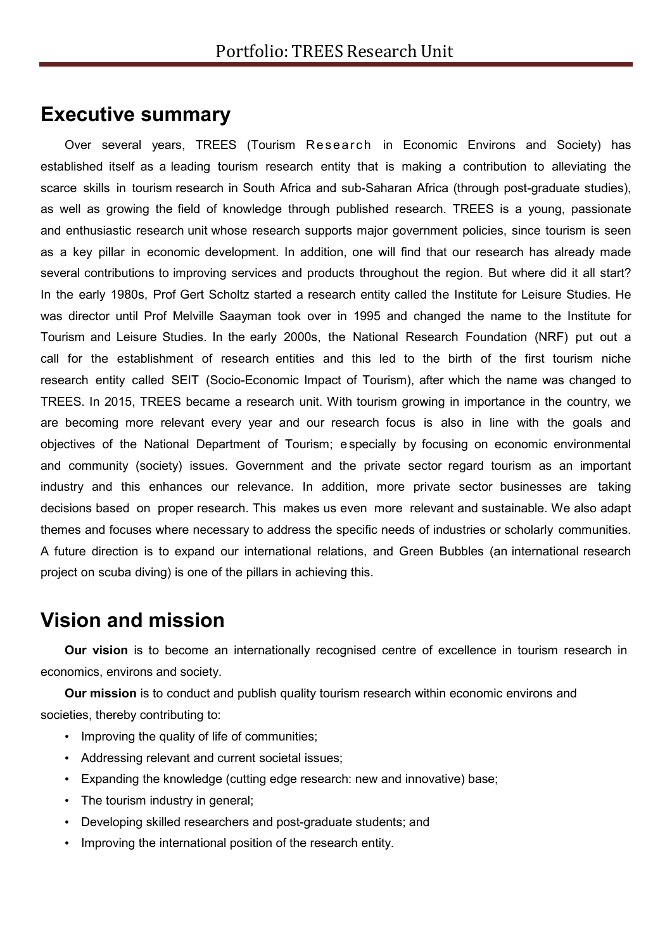# **Executive summary**

Over several years, TREES (Tourism Research in Economic Environs and Society) has established itself as a leading tourism research entity that is making a contribution to alleviating the scarce skills in tourism research in South Africa and sub-Saharan Africa (through post-graduate studies), as well as growing the field of knowledge through published research. TREES is a young, passionate and enthusiastic research unit whose research supports major government policies, since tourism is seen as a key pillar in economic development. In addition, one will find that our research has already made several contributions to improving services and products throughout the region. But where did it all start? In the early 1980s, Prof Gert Scholtz started a research entity called the Institute for Leisure Studies. He was director until Prof Melville Saayman took over in 1995 and changed the name to the Institute for Tourism and Leisure Studies. In the early 2000s, the National Research Foundation (NRF) put out a call for the establishment of research entities and this led to the birth of the first tourism niche research entity called SEIT (Socio-Economic Impact of Tourism), after which the name was changed to TREES. In 2015, TREES became a research unit. With tourism growing in importance in the country, we are becoming more relevant every year and our research focus is also in line with the goals and objectives of the National Department of Tourism; e specially by focusing on economic environmental and community (society) issues. Government and the private sector regard tourism as an important industry and this enhances our relevance. In addition, more private sector businesses are taking decisions based on proper research. This makes us even more relevant and sustainable. We also adapt themes and focuses where necessary to address the specific needs of industries or scholarly communities. A future direction is to expand our international relations, and Green Bubbles (an international research project on scuba diving) is one of the pillars in achieving this.

## **Vision and mission**

**Our vision** is to become an internationally recognised centre of excellence in tourism research in economics, environs and society.

**Our mission** is to conduct and publish quality tourism research within economic environs and societies, thereby contributing to:

- Improving the quality of life of communities;
- Addressing relevant and current societal issues;
- Expanding the knowledge (cutting edge research: new and innovative) base;
- The tourism industry in general;
- Developing skilled researchers and post-graduate students; and
- Improving the international position of the research entity.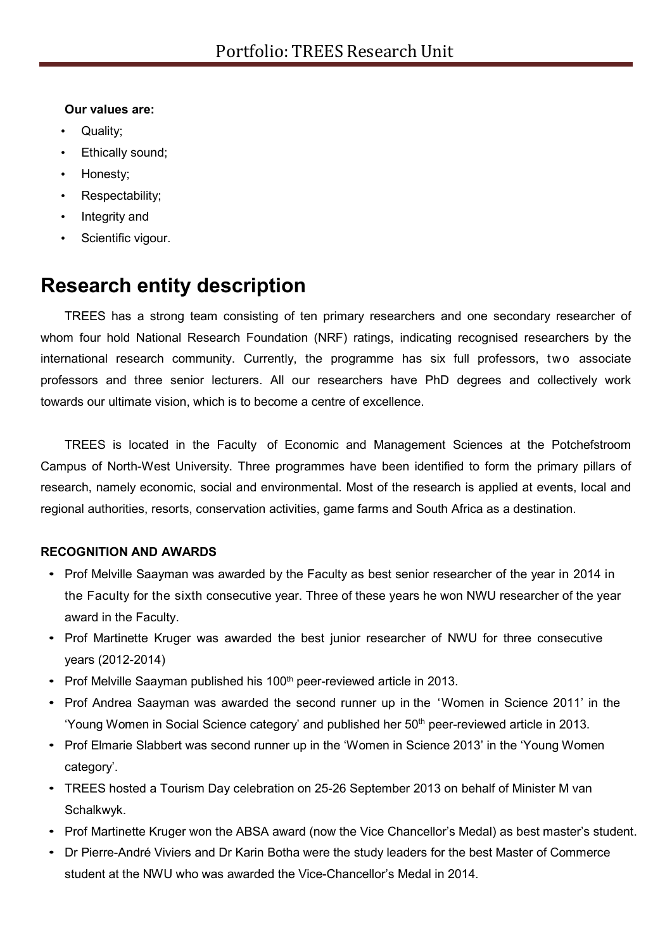### **Our values are:**

- Quality;
- Ethically sound;
- Honesty;
- Respectability;
- Integrity and
- Scientific vigour.

# **Research entity description**

TREES has a strong team consisting of ten primary researchers and one secondary researcher of whom four hold National Research Foundation (NRF) ratings, indicating recognised researchers by the international research community. Currently, the programme has six full professors, two associate professors and three senior lecturers. All our researchers have PhD degrees and collectively work towards our ultimate vision, which is to become a centre of excellence.

TREES is located in the Faculty of Economic and Management Sciences at the Potchefstroom Campus of North-West University. Three programmes have been identified to form the primary pillars of research, namely economic, social and environmental. Most of the research is applied at events, local and regional authorities, resorts, conservation activities, game farms and South Africa as a destination.

### **RECOGNITION AND AWARDS**

- Prof Melville Saayman was awarded by the Faculty as best senior researcher of the year in 2014 in the Faculty for the sixth consecutive year. Three of these years he won NWU researcher of the year award in the Faculty.
- Prof Martinette Kruger was awarded the best junior researcher of NWU for three consecutive years (2012-2014)
- Prof Melville Saayman published his 100<sup>th</sup> peer-reviewed article in 2013.
- Prof Andrea Saayman was awarded the second runner up in the 'Women in Science 2011' in the 'Young Women in Social Science category' and published her 50<sup>th</sup> peer-reviewed article in 2013.
- Prof Elmarie Slabbert was second runner up in the 'Women in Science 2013' in the 'Young Women category'.
- TREES hosted a Tourism Day celebration on 25-26 September 2013 on behalf of Minister M van Schalkwyk.
- Prof Martinette Kruger won the ABSA award (now the Vice Chancellor's Medal) as best master's student.
- Dr Pierre-André Viviers and Dr Karin Botha were the study leaders for the best Master of Commerce student at the NWU who was awarded the Vice-Chancellor's Medal in 2014.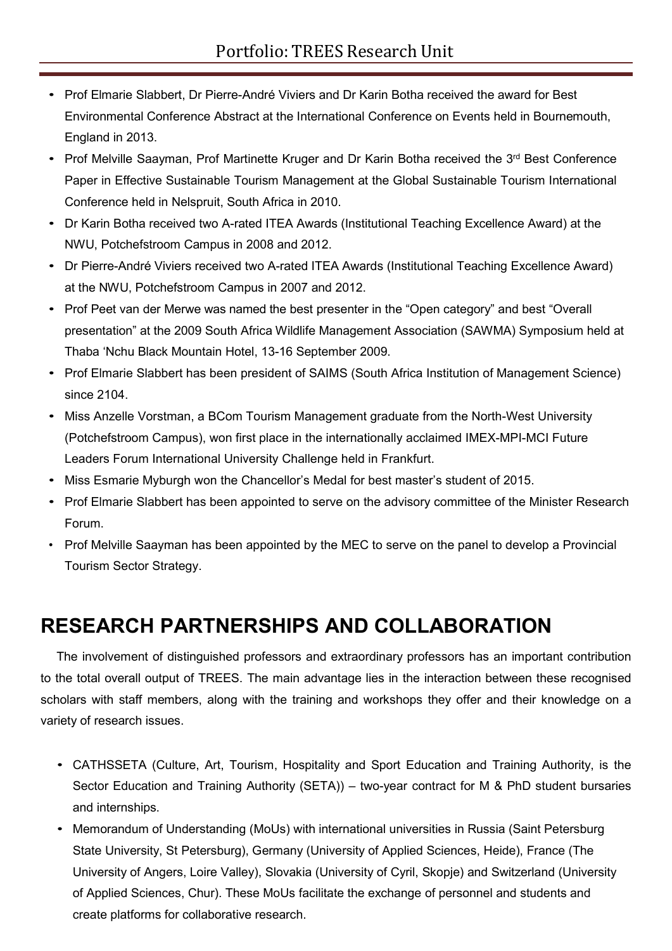- Prof Elmarie Slabbert, Dr Pierre-André Viviers and Dr Karin Botha received the award for Best Environmental Conference Abstract at the International Conference on Events held in Bournemouth, England in 2013.
- Prof Melville Saayman, Prof Martinette Kruger and Dr Karin Botha received the 3<sup>rd</sup> Best Conference Paper in Effective Sustainable Tourism Management at the Global Sustainable Tourism International Conference held in Nelspruit, South Africa in 2010.
- Dr Karin Botha received two A-rated ITEA Awards (Institutional Teaching Excellence Award) at the NWU, Potchefstroom Campus in 2008 and 2012.
- Dr Pierre-André Viviers received two A-rated ITEA Awards (Institutional Teaching Excellence Award) at the NWU, Potchefstroom Campus in 2007 and 2012.
- Prof Peet van der Merwe was named the best presenter in the "Open category" and best "Overall presentation" at the 2009 South Africa Wildlife Management Association (SAWMA) Symposium held at Thaba 'Nchu Black Mountain Hotel, 13-16 September 2009.
- Prof Elmarie Slabbert has been president of SAIMS (South Africa Institution of Management Science) since 2104.
- Miss Anzelle Vorstman, a BCom Tourism Management graduate from the North-West University (Potchefstroom Campus), won first place in the internationally acclaimed IMEX-MPI-MCI Future Leaders Forum International University Challenge held in Frankfurt.
- Miss Esmarie Myburgh won the Chancellor's Medal for best master's student of 2015.
- Prof Elmarie Slabbert has been appointed to serve on the advisory committee of the Minister Research Forum.
- Prof Melville Saayman has been appointed by the MEC to serve on the panel to develop a Provincial Tourism Sector Strategy.

# **RESEARCH PARTNERSHIPS AND COLLABORATION**

The involvement of distinguished professors and extraordinary professors has an important contribution to the total overall output of TREES. The main advantage lies in the interaction between these recognised scholars with staff members, along with the training and workshops they offer and their knowledge on a variety of research issues.

- CATHSSETA (Culture, Art, Tourism, Hospitality and Sport Education and Training Authority, is the Sector Education and Training Authority (SETA)) – two-year contract for M & PhD student bursaries and internships.
- Memorandum of Understanding (MoUs) with international universities in Russia (Saint Petersburg State University, St Petersburg), Germany (University of Applied Sciences, Heide), France (The University of Angers, Loire Valley), Slovakia (University of Cyril, Skopje) and Switzerland (University of Applied Sciences, Chur). These MoUs facilitate the exchange of personnel and students and create platforms for collaborative research.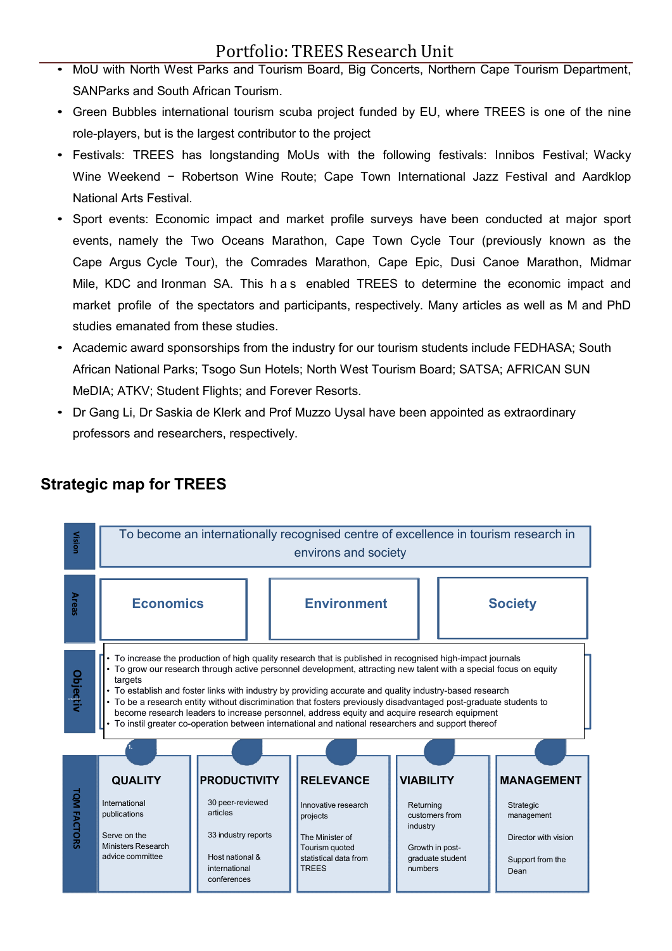- MoU with North West Parks and Tourism Board, Big Concerts, Northern Cape Tourism Department, SANParks and South African Tourism.
- Green Bubbles international tourism scuba project funded by EU, where TREES is one of the nine role-players, but is the largest contributor to the project
- Festivals: TREES has longstanding MoUs with the following festivals: Innibos Festival; Wacky Wine Weekend - Robertson Wine Route; Cape Town International Jazz Festival and Aardklop National Arts Festival.
- Sport events: Economic impact and market profile surveys have been conducted at major sport events, namely the Two Oceans Marathon, Cape Town Cycle Tour (previously known as the Cape Argus Cycle Tour), the Comrades Marathon, Cape Epic, Dusi Canoe Marathon, Midmar Mile, KDC and Ironman SA. This h a s enabled TREES to determine the economic impact and market profile of the spectators and participants, respectively. Many articles as well as M and PhD studies emanated from these studies.
- Academic award sponsorships from the industry for our tourism students include FEDHASA; South African National Parks; Tsogo Sun Hotels; North West Tourism Board; SATSA; AFRICAN SUN MeDIA; ATKV; Student Flights; and Forever Resorts.
- Dr Gang Li, Dr Saskia de Klerk and Prof Muzzo Uysal have been appointed as extraordinary professors and researchers, respectively.



### **Strategic map for TREES**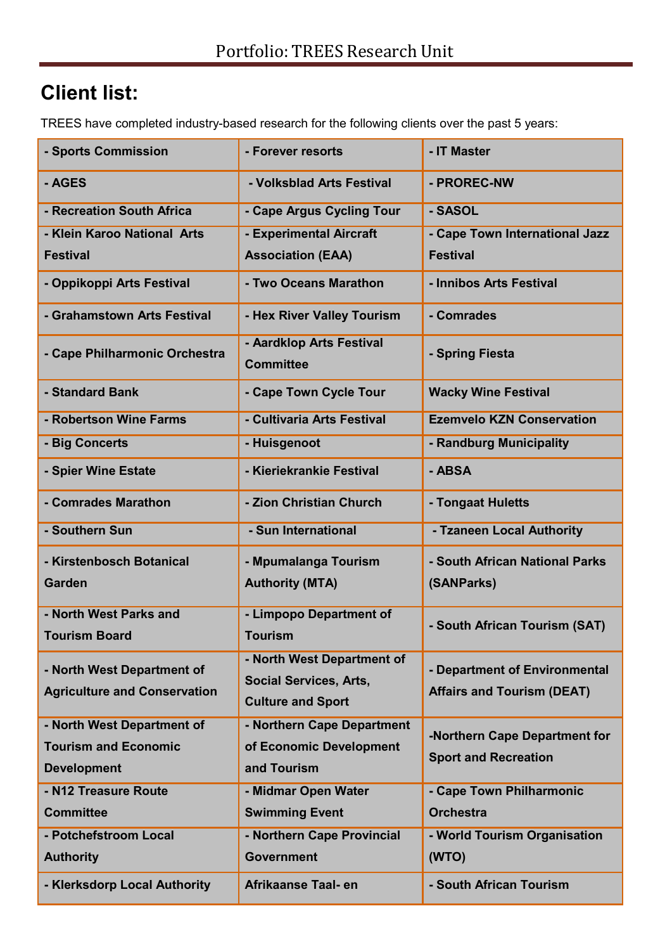# **Client list:**

TREES have completed industry-based research for the following clients over the past 5 years:

| - Sports Commission                                       | - Forever resorts                                     | - IT Master                       |
|-----------------------------------------------------------|-------------------------------------------------------|-----------------------------------|
| - AGES                                                    | - Volksblad Arts Festival                             | - PROREC-NW                       |
| - Recreation South Africa                                 | - Cape Argus Cycling Tour                             | - SASOL                           |
| - Klein Karoo National Arts                               | - Experimental Aircraft                               | - Cape Town International Jazz    |
| <b>Festival</b>                                           | <b>Association (EAA)</b>                              | <b>Festival</b>                   |
| - Oppikoppi Arts Festival                                 | - Two Oceans Marathon                                 | - Innibos Arts Festival           |
| - Grahamstown Arts Festival                               | - Hex River Valley Tourism                            | - Comrades                        |
| - Cape Philharmonic Orchestra                             | - Aardklop Arts Festival<br><b>Committee</b>          | - Spring Fiesta                   |
| - Standard Bank                                           | - Cape Town Cycle Tour                                | <b>Wacky Wine Festival</b>        |
| - Robertson Wine Farms                                    | - Cultivaria Arts Festival                            | <b>Ezemvelo KZN Conservation</b>  |
| - Big Concerts                                            | - Huisgenoot                                          | - Randburg Municipality           |
| - Spier Wine Estate                                       | - Kieriekrankie Festival                              | - ABSA                            |
| - Comrades Marathon                                       | - Zion Christian Church                               | - Tongaat Huletts                 |
| - Southern Sun                                            | - Sun International                                   | - Tzaneen Local Authority         |
| - Kirstenbosch Botanical                                  | - Mpumalanga Tourism                                  | - South African National Parks    |
| <b>Garden</b>                                             | <b>Authority (MTA)</b>                                | (SANParks)                        |
| - North West Parks and                                    | - Limpopo Department of                               | - South African Tourism (SAT)     |
| <b>Tourism Board</b>                                      | <b>Tourism</b>                                        |                                   |
| - North West Department of                                | - North West Department of                            | - Department of Environmental     |
| <b>Agriculture and Conservation</b>                       | <b>Social Services, Arts,</b>                         | <b>Affairs and Tourism (DEAT)</b> |
|                                                           | <b>Culture and Sport</b>                              |                                   |
| - North West Department of<br><b>Tourism and Economic</b> | - Northern Cape Department<br>of Economic Development | -Northern Cape Department for     |
| <b>Development</b>                                        | and Tourism                                           | <b>Sport and Recreation</b>       |
| - N12 Treasure Route                                      | - Midmar Open Water                                   | - Cape Town Philharmonic          |
| <b>Committee</b>                                          | <b>Swimming Event</b>                                 | <b>Orchestra</b>                  |
| - Potchefstroom Local                                     | - Northern Cape Provincial                            | - World Tourism Organisation      |
| <b>Authority</b>                                          | <b>Government</b>                                     | (WTO)                             |
| - Klerksdorp Local Authority                              | Afrikaanse Taal- en                                   | - South African Tourism           |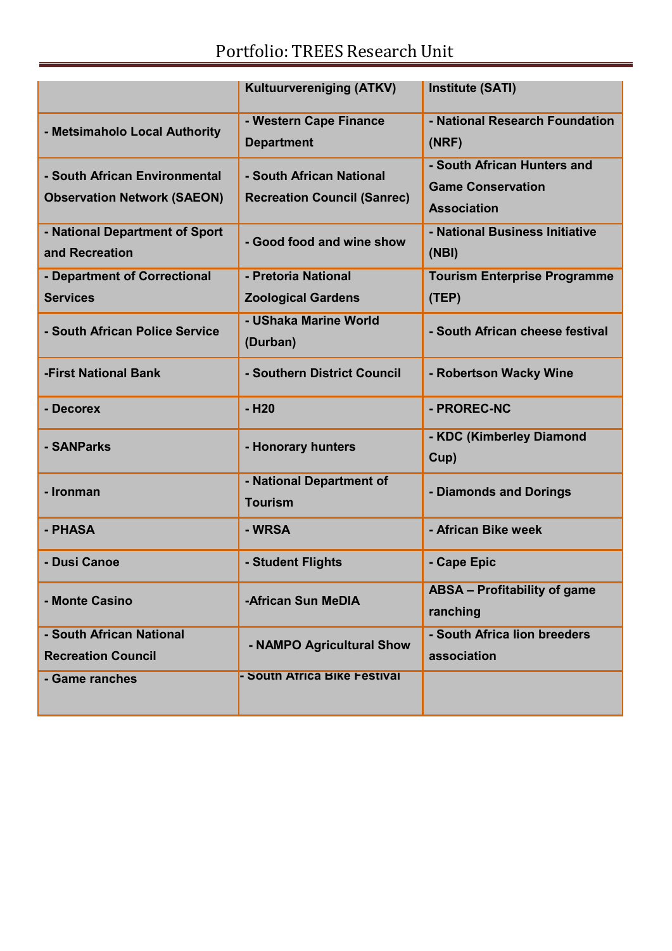|                                                                     | <b>Kultuurvereniging (ATKV)</b>                                | <b>Institute (SATI)</b>                                                       |
|---------------------------------------------------------------------|----------------------------------------------------------------|-------------------------------------------------------------------------------|
| - Metsimaholo Local Authority                                       | - Western Cape Finance<br><b>Department</b>                    | - National Research Foundation<br>(NRF)                                       |
| - South African Environmental<br><b>Observation Network (SAEON)</b> | - South African National<br><b>Recreation Council (Sanrec)</b> | - South African Hunters and<br><b>Game Conservation</b><br><b>Association</b> |
| - National Department of Sport<br>and Recreation                    | - Good food and wine show                                      | - National Business Initiative<br>(NBI)                                       |
| - Department of Correctional<br><b>Services</b>                     | - Pretoria National<br><b>Zoological Gardens</b>               | <b>Tourism Enterprise Programme</b><br>(TEP)                                  |
| - South African Police Service                                      | - UShaka Marine World<br>(Durban)                              | - South African cheese festival                                               |
| -First National Bank                                                | - Southern District Council                                    | - Robertson Wacky Wine                                                        |
| - Decorex                                                           | $-H20$                                                         | - PROREC-NC                                                                   |
| - SANParks                                                          | - Honorary hunters                                             | - KDC (Kimberley Diamond<br>Cup)                                              |
| - Ironman                                                           | - National Department of<br><b>Tourism</b>                     | - Diamonds and Dorings                                                        |
| - PHASA                                                             | - WRSA                                                         | - African Bike week                                                           |
| - Dusi Canoe                                                        | - Student Flights                                              | - Cape Epic                                                                   |
| - Monte Casino                                                      | -African Sun MeDIA                                             | <b>ABSA - Profitability of game</b><br>ranching                               |
| - South African National<br><b>Recreation Council</b>               | - NAMPO Agricultural Show                                      | - South Africa lion breeders<br>association                                   |
| - Game ranches                                                      | - South Africa Bike Festival                                   |                                                                               |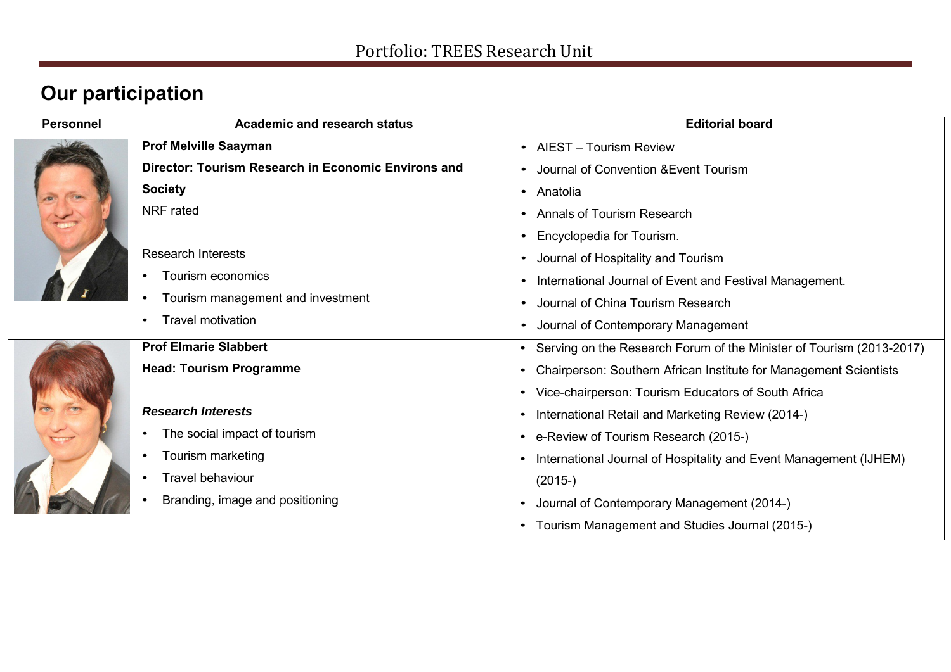# **Our participation**

| Personnel | <b>Academic and research status</b>                 | <b>Editorial board</b>                                                 |
|-----------|-----------------------------------------------------|------------------------------------------------------------------------|
|           | <b>Prof Melville Saayman</b>                        | • AIEST - Tourism Review                                               |
|           | Director: Tourism Research in Economic Environs and | Journal of Convention & Event Tourism                                  |
|           | <b>Society</b>                                      | • Anatolia                                                             |
|           | <b>NRF</b> rated                                    | <b>Annals of Tourism Research</b>                                      |
|           |                                                     | Encyclopedia for Tourism.                                              |
|           | <b>Research Interests</b>                           | Journal of Hospitality and Tourism                                     |
|           | Tourism economics                                   | International Journal of Event and Festival Management.                |
|           | Tourism management and investment<br>$\bullet$      | Journal of China Tourism Research                                      |
|           | <b>Travel motivation</b>                            | Journal of Contemporary Management<br>$\bullet$                        |
|           | <b>Prof Elmarie Slabbert</b>                        | • Serving on the Research Forum of the Minister of Tourism (2013-2017) |
|           | <b>Head: Tourism Programme</b>                      | Chairperson: Southern African Institute for Management Scientists      |
|           |                                                     | Vice-chairperson: Tourism Educators of South Africa                    |
|           | <b>Research Interests</b>                           | International Retail and Marketing Review (2014-)                      |
|           | The social impact of tourism                        | • e-Review of Tourism Research (2015-)                                 |
|           | Tourism marketing                                   | • International Journal of Hospitality and Event Management (IJHEM)    |
|           | <b>Travel behaviour</b><br>$\bullet$                | $(2015-)$                                                              |
|           | Branding, image and positioning                     | Journal of Contemporary Management (2014-)                             |
|           |                                                     | • Tourism Management and Studies Journal (2015-)                       |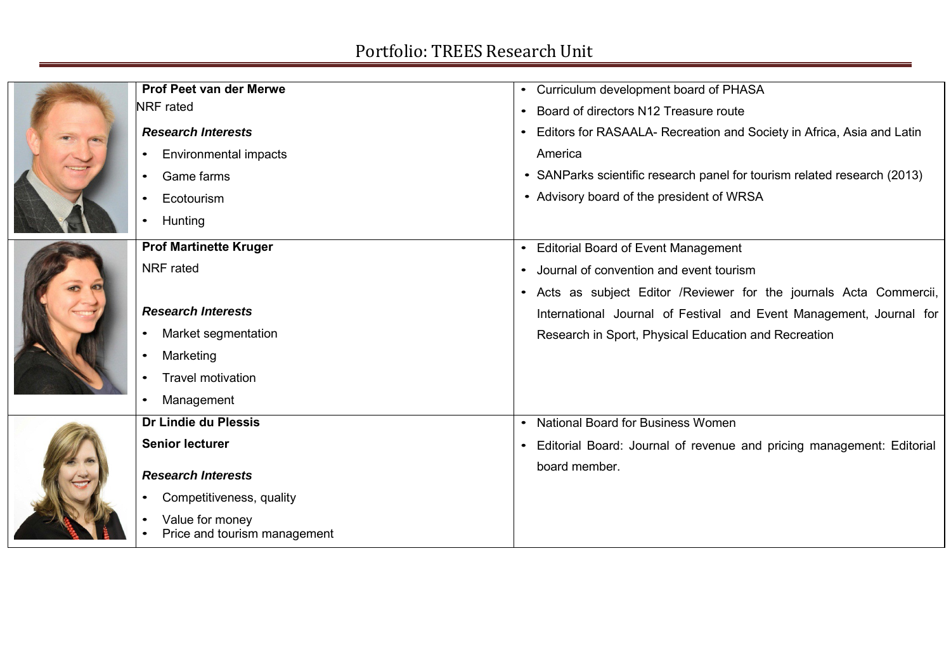|  | Prof Peet van der Merwe                         | Curriculum development board of PHASA<br>$\bullet$                                 |
|--|-------------------------------------------------|------------------------------------------------------------------------------------|
|  | <b>NRF</b> rated                                | Board of directors N12 Treasure route<br>$\bullet$                                 |
|  | <b>Research Interests</b>                       | Editors for RASAALA- Recreation and Society in Africa, Asia and Latin              |
|  | <b>Environmental impacts</b><br>$\bullet$       | America                                                                            |
|  | Game farms<br>$\bullet$                         | • SANParks scientific research panel for tourism related research (2013)           |
|  | Ecotourism<br>$\bullet$                         | • Advisory board of the president of WRSA                                          |
|  | Hunting<br>$\bullet$                            |                                                                                    |
|  | <b>Prof Martinette Kruger</b>                   | <b>Editorial Board of Event Management</b>                                         |
|  | <b>NRF</b> rated                                | Journal of convention and event tourism                                            |
|  |                                                 | Acts as subject Editor / Reviewer for the journals Acta Commercii,<br>$\bullet$    |
|  | <b>Research Interests</b>                       | International Journal of Festival and Event Management, Journal for                |
|  | Market segmentation                             | Research in Sport, Physical Education and Recreation                               |
|  | Marketing<br>$\bullet$                          |                                                                                    |
|  | <b>Travel motivation</b>                        |                                                                                    |
|  | Management<br>$\bullet$                         |                                                                                    |
|  | Dr Lindie du Plessis                            | <b>National Board for Business Women</b>                                           |
|  | <b>Senior lecturer</b>                          | Editorial Board: Journal of revenue and pricing management: Editorial<br>$\bullet$ |
|  | <b>Research Interests</b>                       | board member.                                                                      |
|  | Competitiveness, quality                        |                                                                                    |
|  | Value for money<br>Price and tourism management |                                                                                    |
|  |                                                 |                                                                                    |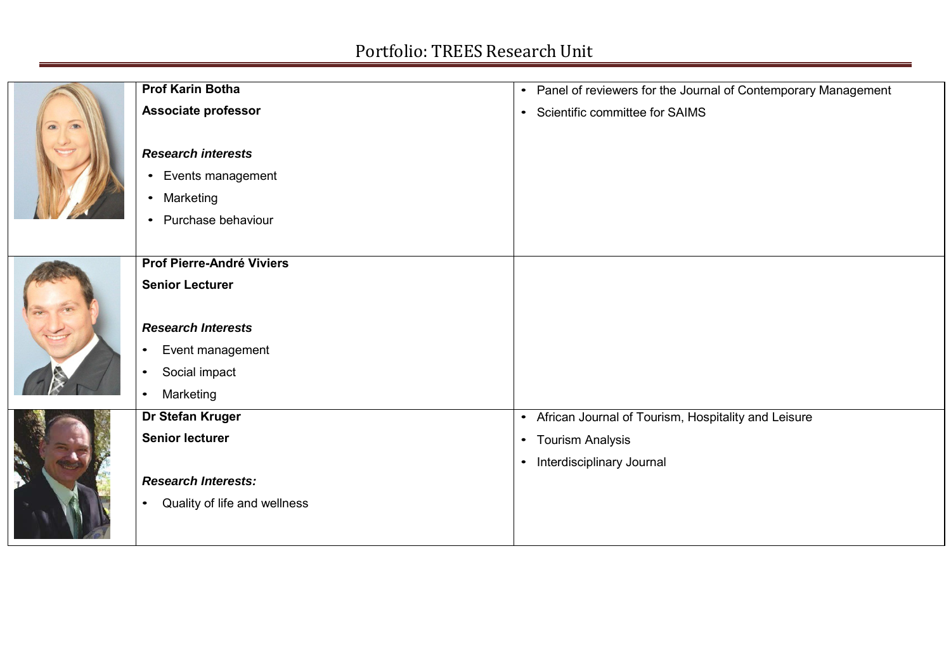|                              | <b>Prof Karin Botha</b>                   | • Panel of reviewers for the Journal of Contemporary Management |
|------------------------------|-------------------------------------------|-----------------------------------------------------------------|
| $\sqrt{2}$<br>$\overline{a}$ | <b>Associate professor</b>                | • Scientific committee for SAIMS                                |
|                              | <b>Research interests</b>                 |                                                                 |
|                              | • Events management                       |                                                                 |
|                              | • Marketing                               |                                                                 |
|                              | • Purchase behaviour                      |                                                                 |
|                              |                                           |                                                                 |
|                              | Prof Pierre-André Viviers                 |                                                                 |
|                              | <b>Senior Lecturer</b>                    |                                                                 |
|                              | <b>Research Interests</b>                 |                                                                 |
|                              | Event management<br>$\bullet$             |                                                                 |
|                              | Social impact<br>$\bullet$                |                                                                 |
|                              | Marketing<br>$\bullet$                    |                                                                 |
|                              | Dr Stefan Kruger                          | • African Journal of Tourism, Hospitality and Leisure           |
|                              | <b>Senior lecturer</b>                    | • Tourism Analysis                                              |
| <b>RAN</b>                   |                                           | • Interdisciplinary Journal                                     |
|                              | <b>Research Interests:</b>                |                                                                 |
|                              | Quality of life and wellness<br>$\bullet$ |                                                                 |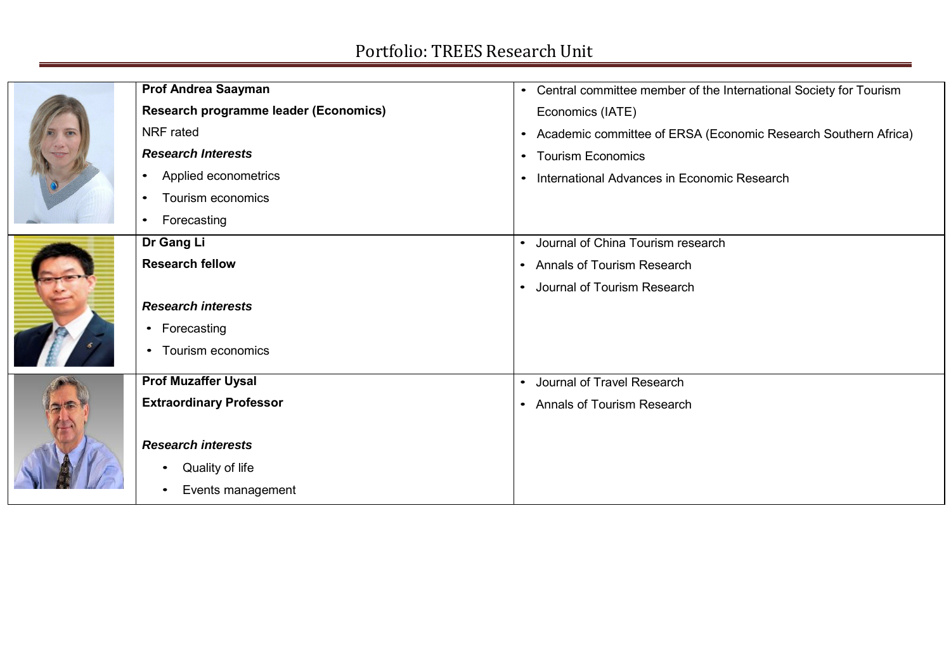|  | <b>Prof Andrea Saayman</b>            | Central committee member of the International Society for Tourism<br>$\bullet$ |
|--|---------------------------------------|--------------------------------------------------------------------------------|
|  | Research programme leader (Economics) | Economics (IATE)                                                               |
|  | NRF rated                             | Academic committee of ERSA (Economic Research Southern Africa)<br>$\bullet$    |
|  | <b>Research Interests</b>             | <b>Tourism Economics</b><br>$\bullet$                                          |
|  | Applied econometrics<br>$\bullet$     | International Advances in Economic Research<br>$\bullet$                       |
|  | Tourism economics<br>$\bullet$        |                                                                                |
|  | Forecasting<br>$\bullet$              |                                                                                |
|  | Dr Gang Li                            | Journal of China Tourism research<br>$\bullet$                                 |
|  | <b>Research fellow</b>                | <b>Annals of Tourism Research</b><br>$\bullet$                                 |
|  |                                       | • Journal of Tourism Research                                                  |
|  | <b>Research interests</b>             |                                                                                |
|  | • Forecasting                         |                                                                                |
|  | • Tourism economics                   |                                                                                |
|  | <b>Prof Muzaffer Uysal</b>            | • Journal of Travel Research                                                   |
|  | <b>Extraordinary Professor</b>        | • Annals of Tourism Research                                                   |
|  |                                       |                                                                                |
|  | <b>Research interests</b>             |                                                                                |
|  | Quality of life                       |                                                                                |
|  | Events management<br>٠                |                                                                                |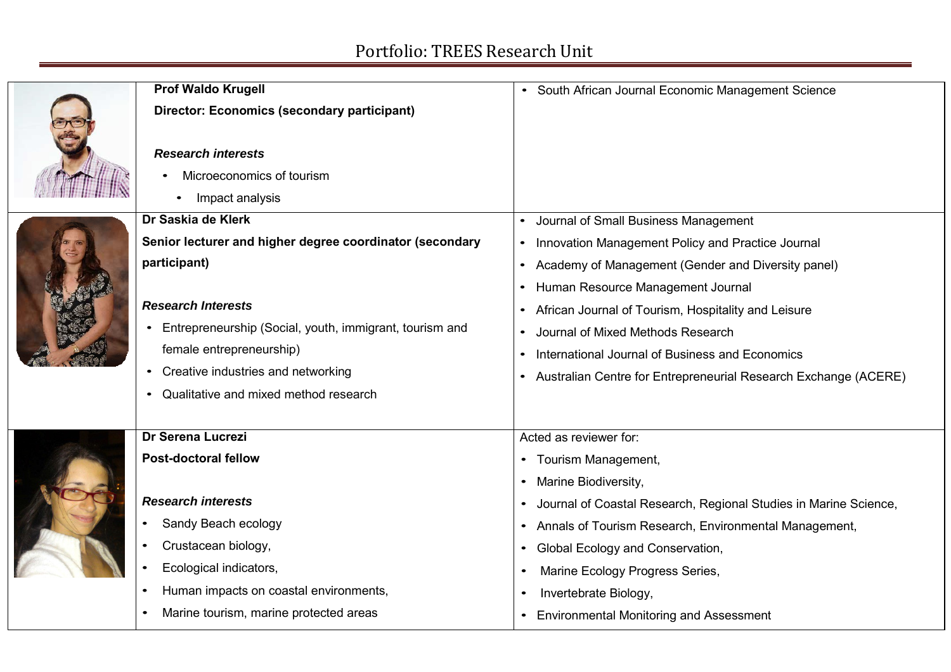| <b>Prof Waldo Krugell</b><br><b>Director: Economics (secondary participant)</b><br><b>Research interests</b><br>Microeconomics of tourism<br>Impact analysis                                                                                                                                                     | • South African Journal Economic Management Science                                                                                                                                                                                                                                                                                                                                                      |
|------------------------------------------------------------------------------------------------------------------------------------------------------------------------------------------------------------------------------------------------------------------------------------------------------------------|----------------------------------------------------------------------------------------------------------------------------------------------------------------------------------------------------------------------------------------------------------------------------------------------------------------------------------------------------------------------------------------------------------|
| Dr Saskia de Klerk<br>Senior lecturer and higher degree coordinator (secondary<br>participant)<br><b>Research Interests</b><br>Entrepreneurship (Social, youth, immigrant, tourism and<br>female entrepreneurship)<br>Creative industries and networking<br>$\bullet$<br>• Qualitative and mixed method research | Journal of Small Business Management<br>• Innovation Management Policy and Practice Journal<br>Academy of Management (Gender and Diversity panel)<br>Human Resource Management Journal<br>African Journal of Tourism, Hospitality and Leisure<br>Journal of Mixed Methods Research<br>International Journal of Business and Economics<br>Australian Centre for Entrepreneurial Research Exchange (ACERE) |
| Dr Serena Lucrezi<br><b>Post-doctoral fellow</b><br><b>Research interests</b><br>Sandy Beach ecology<br>Crustacean biology,<br>Ecological indicators,<br>Human impacts on coastal environments,<br>Marine tourism, marine protected areas                                                                        | Acted as reviewer for:<br>• Tourism Management,<br>• Marine Biodiversity,<br>Journal of Coastal Research, Regional Studies in Marine Science,<br>• Annals of Tourism Research, Environmental Management,<br>• Global Ecology and Conservation,<br>Marine Ecology Progress Series,<br>Invertebrate Biology,<br><b>Environmental Monitoring and Assessment</b>                                             |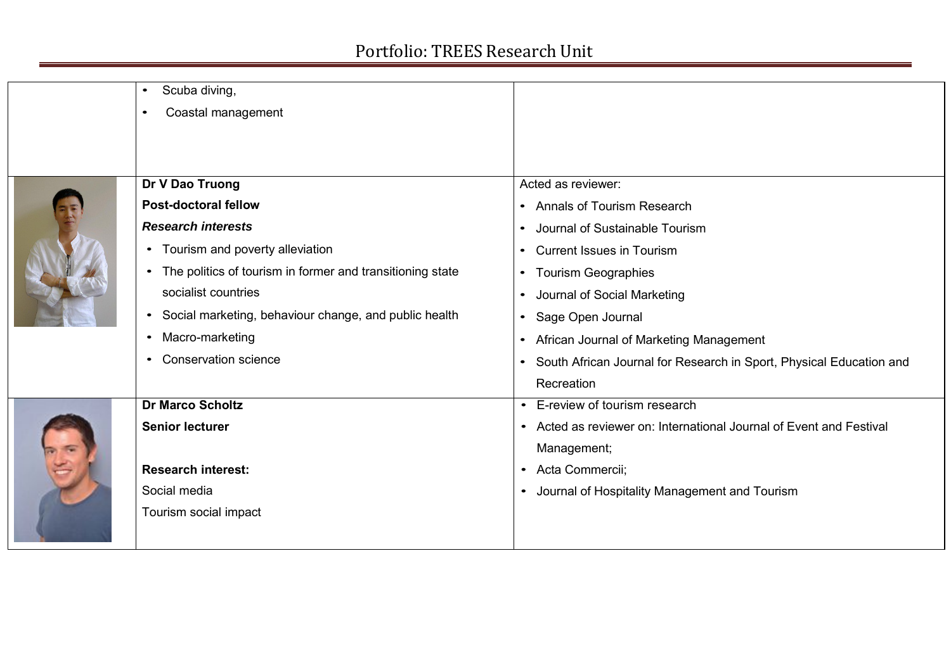| Scuba diving,<br>$\bullet$                                             |                                                                       |
|------------------------------------------------------------------------|-----------------------------------------------------------------------|
| Coastal management<br>$\bullet$                                        |                                                                       |
|                                                                        |                                                                       |
|                                                                        |                                                                       |
| Dr V Dao Truong                                                        | Acted as reviewer:                                                    |
| <b>Post-doctoral fellow</b>                                            |                                                                       |
|                                                                        | • Annals of Tourism Research                                          |
| <b>Research interests</b>                                              | Journal of Sustainable Tourism                                        |
| • Tourism and poverty alleviation                                      | <b>Current Issues in Tourism</b>                                      |
| The politics of tourism in former and transitioning state<br>$\bullet$ | • Tourism Geographies                                                 |
| socialist countries                                                    | • Journal of Social Marketing                                         |
| Social marketing, behaviour change, and public health<br>$\bullet$     | Sage Open Journal<br>$\bullet$                                        |
| Macro-marketing<br>$\bullet$                                           | • African Journal of Marketing Management                             |
| <b>Conservation science</b><br>$\bullet$                               | • South African Journal for Research in Sport, Physical Education and |
|                                                                        | Recreation                                                            |
| <b>Dr Marco Scholtz</b>                                                | • E-review of tourism research                                        |
| <b>Senior lecturer</b>                                                 | • Acted as reviewer on: International Journal of Event and Festival   |
|                                                                        | Management;                                                           |
| <b>Research interest:</b>                                              | • Acta Commercii;                                                     |
| Social media                                                           | • Journal of Hospitality Management and Tourism                       |
| Tourism social impact                                                  |                                                                       |
|                                                                        |                                                                       |
|                                                                        |                                                                       |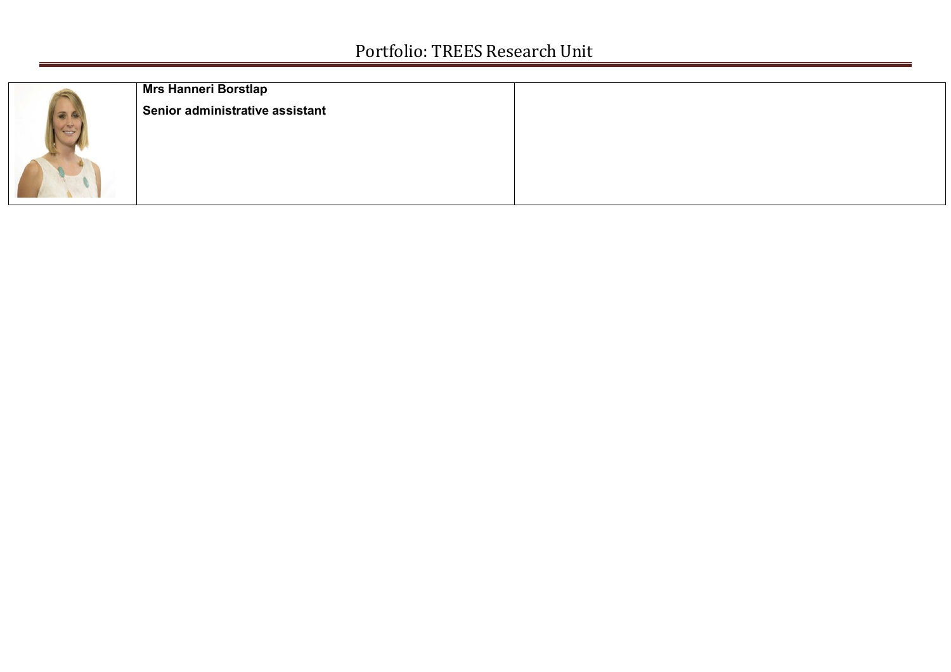| <b>Mrs Hanneri Borstlap</b>     |  |
|---------------------------------|--|
| Senior administrative assistant |  |
|                                 |  |
|                                 |  |
|                                 |  |
|                                 |  |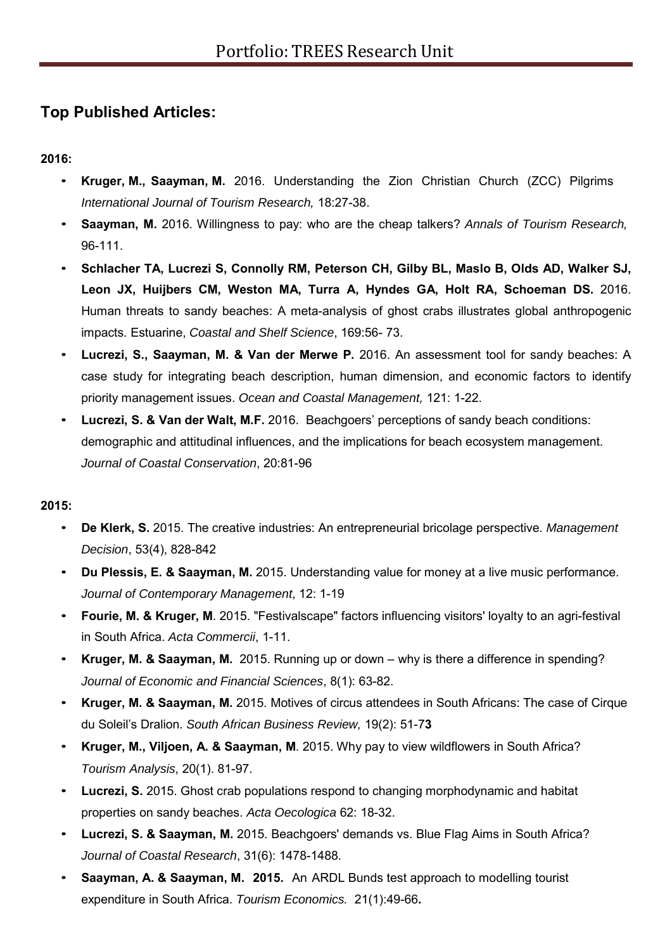### **Top Published Articles:**

**2016:**

- **Kruger, M., Saayman, M.** 2016. Understanding the Zion Christian Church (ZCC) Pilgrims *International Journal of Tourism Research,* 18:27-38.
- **Saayman, M.** 2016. Willingness to pay: who are the cheap talkers? *Annals of Tourism Research,* 96-111.
- **Schlacher TA, Lucrezi S, Connolly RM, Peterson CH, Gilby BL, Maslo B, Olds AD, Walker SJ, Leon JX, Huijbers CM, Weston MA, Turra A, Hyndes GA, Holt RA, Schoeman DS.** 2016. Human threats to sandy beaches: A meta-analysis of ghost crabs illustrates global anthropogenic impacts. Estuarine, *Coastal and Shelf Science*, 169:56- 73.
- **Lucrezi, S., Saayman, M. & Van der Merwe P.** 2016. An assessment tool for sandy beaches: A case study for integrating beach description, human dimension, and economic factors to identify priority management issues. *Ocean and Coastal Management,* 121: 1-22.
- **Lucrezi, S. & Van der Walt, M.F.** 2016. Beachgoers' perceptions of sandy beach conditions: demographic and attitudinal influences, and the implications for beach ecosystem management. *Journal of Coastal Conservation*, 20:81-96

### **2015:**

- **De Klerk, S.** 2015. The creative industries: An entrepreneurial bricolage perspective. *Management Decision*, 53(4), 828-842
- **Du Plessis, E. & Saayman, M.** 2015. Understanding value for money at a live music performance. *Journal of Contemporary Management*, 12: 1-19
- **Fourie, M. & Kruger, M**. 2015. "Festivalscape" factors influencing visitors' loyalty to an agri-festival in South Africa. *Acta Commercii*, 1-11.
- **Kruger, M. & Saayman, M.** 2015. Running up or down why is there a difference in spending? *Journal of Economic and Financial Sciences*, 8(1): 63-82.
- **Kruger, M. & Saayman, M.** 2015. Motives of circus attendees in South Africans: The case of Cirque du Soleil's Dralion. *South African Business Review,* 19(2): 51-7**3**
- **Kruger, M., Viljoen, A. & Saayman, M**. 2015. Why pay to view wildflowers in South Africa? *Tourism Analysis*, 20(1). 81-97.
- **Lucrezi, S.** 2015. Ghost crab populations respond to changing morphodynamic and habitat properties on sandy beaches. *Acta Oecologica* 62: 18-32.
- **Lucrezi, S. & Saayman, M.** 2015. Beachgoers' demands vs. Blue Flag Aims in South Africa? *Journal of Coastal Research*, 31(6): 1478-1488.
- **Saayman, A. & Saayman, M. 2015.** An ARDL Bunds test approach to modelling tourist expenditure in South Africa. *Tourism Economics.* 21(1):49-66**.**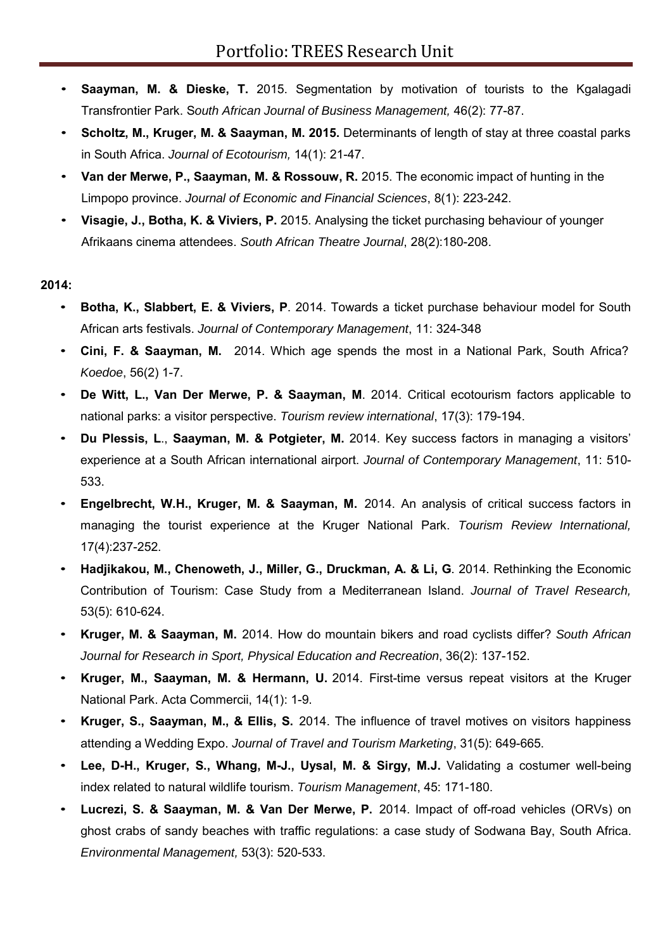- **Saayman, M. & Dieske, T.** 2015. Segmentation by motivation of tourists to the Kgalagadi Transfrontier Park. S*outh African Journal of Business Management,* 46(2): 77-87.
- **Scholtz, M., Kruger, M. & Saayman, M. 2015.** Determinants of length of stay at three coastal parks in South Africa. *Journal of Ecotourism,* 14(1): 21-47.
- **Van der Merwe, P., Saayman, M. & Rossouw, R.** 2015. The economic impact of hunting in the Limpopo province. *Journal of Economic and Financial Sciences*, 8(1): 223-242.
- **Visagie, J., Botha, K. & Viviers, P.** 2015. Analysing the ticket purchasing behaviour of younger Afrikaans cinema attendees. *South African Theatre Journal*, 28(2):180-208.

### **2014:**

- **Botha, K., Slabbert, E. & Viviers, P**. 2014. Towards a ticket purchase behaviour model for South African arts festivals. *Journal of Contemporary Management*, 11: 324-348
- **Cini, F. & Saayman, M.** 2014. Which age spends the most in a National Park, South Africa? *Koedoe*, 56(2) 1-7.
- **De Witt, L., Van Der Merwe, P. & Saayman, M**. 2014. Critical ecotourism factors applicable to national parks: a visitor perspective. *Tourism review international*, 17(3): 179-194.
- **Du Plessis, L**., **Saayman, M. & Potgieter, M.** 2014. Key success factors in managing a visitors' experience at a South African international airport. *Journal of Contemporary Management*, 11: 510- 533.
- **Engelbrecht, W.H., Kruger, M. & Saayman, M.** 2014. An analysis of critical success factors in managing the tourist experience at the Kruger National Park. *Tourism Review International,*  17(4):237-252.
- **Hadjikakou, M., Chenoweth, J., Miller, G., Druckman, A. & Li, G**. 2014. Rethinking the Economic Contribution of Tourism: Case Study from a Mediterranean Island. *Journal of Travel Research,*  53(5): 610-624.
- **Kruger, M. & Saayman, M.** 2014. How do mountain bikers and road cyclists differ? *South African Journal for Research in Sport, Physical Education and Recreation*, 36(2): 137-152.
- **Kruger, M., Saayman, M. & Hermann, U.** 2014. First-time versus repeat visitors at the Kruger National Park. Acta Commercii, 14(1): 1-9.
- **Kruger, S., Saayman, M., & Ellis, S.** 2014. The influence of travel motives on visitors happiness attending a Wedding Expo. *Journal of Travel and Tourism Marketing*, 31(5): 649-665.
- **Lee, D-H., Kruger, S., Whang, M-J., Uysal, M. & Sirgy, M.J.** Validating a costumer well-being index related to natural wildlife tourism. *Tourism Management*, 45: 171-180.
- **Lucrezi, S. & Saayman, M. & Van Der Merwe, P.** 2014. Impact of off-road vehicles (ORVs) on ghost crabs of sandy beaches with traffic regulations: a case study of Sodwana Bay, South Africa. *Environmental Management,* 53(3): 520-533.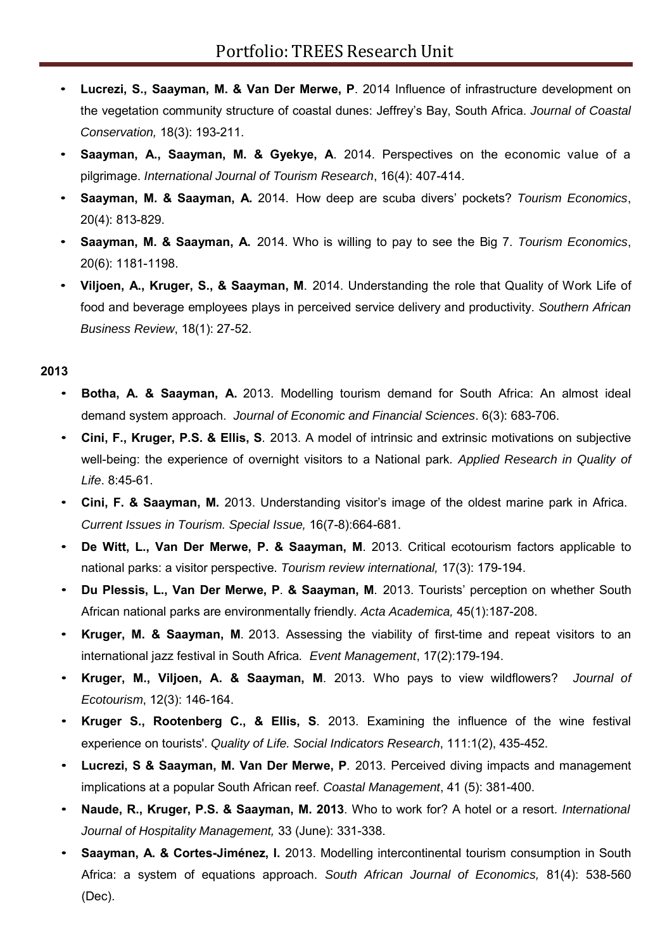- **Lucrezi, S., Saayman, M. & Van Der Merwe, P**. 2014 Influence of infrastructure development on the vegetation community structure of coastal dunes: Jeffrey's Bay, South Africa. *Journal of Coastal Conservation,* 18(3): 193-211.
- **Saayman, A., Saayman, M. & Gyekye, A**. 2014. Perspectives on the economic value of a pilgrimage. *International Journal of Tourism Research*, 16(4): 407-414.
- **Saayman, M. & Saayman, A.** 2014. How deep are scuba divers' pockets? *Tourism Economics*, 20(4): 813-829.
- **Saayman, M. & Saayman, A.** 2014. Who is willing to pay to see the Big 7. *Tourism Economics*, 20(6): 1181-1198.
- **Viljoen, A., Kruger, S., & Saayman, M**. 2014. Understanding the role that Quality of Work Life of food and beverage employees plays in perceived service delivery and productivity. *Southern African Business Review*, 18(1): 27-52.

- **Botha, A. & Saayman, A.** 2013. Modelling tourism demand for South Africa: An almost ideal demand system approach. *Journal of Economic and Financial Sciences*. 6(3): 683-706.
- **Cini, F., Kruger, P.S. & Ellis, S**. 2013. A model of intrinsic and extrinsic motivations on subjective well-being: the experience of overnight visitors to a National park*. Applied Research in Quality of Life*. 8:45-61.
- **Cini, F. & Saayman, M.** 2013. Understanding visitor's image of the oldest marine park in Africa. *Current Issues in Tourism. Special Issue,* 16(7-8):664-681.
- **De Witt, L., Van Der Merwe, P. & Saayman, M**. 2013. Critical ecotourism factors applicable to national parks: a visitor perspective. *Tourism review international,* 17(3): 179-194.
- **Du Plessis, L., Van Der Merwe, P**. **& Saayman, M**. 2013. Tourists' perception on whether South African national parks are environmentally friendly. *Acta Academica,* 45(1):187-208.
- **Kruger, M. & Saayman, M**. 2013. Assessing the viability of first-time and repeat visitors to an international jazz festival in South Africa*. Event Management*, 17(2):179-194.
- **Kruger, M., Viljoen, A. & Saayman, M**. 2013. Who pays to view wildflowers? *Journal of Ecotourism*, 12(3): 146-164.
- **Kruger S., Rootenberg C., & Ellis, S**. 2013. Examining the influence of the wine festival experience on tourists'. *Quality of Life. Social Indicators Research*, 111:1(2), 435-452.
- **Lucrezi, S & Saayman, M. Van Der Merwe, P**. 2013. Perceived diving impacts and management implications at a popular South African reef. *Coastal Management*, 41 (5): 381-400.
- **Naude, R., Kruger, P.S. & Saayman, M. 2013**. Who to work for? A hotel or a resort. *International Journal of Hospitality Management,* 33 (June): 331-338.
- **Saayman, A. & Cortes-Jiménez, I.** 2013. Modelling intercontinental tourism consumption in South Africa: a system of equations approach. *South African Journal of Economics,* 81(4): 538-560 (Dec).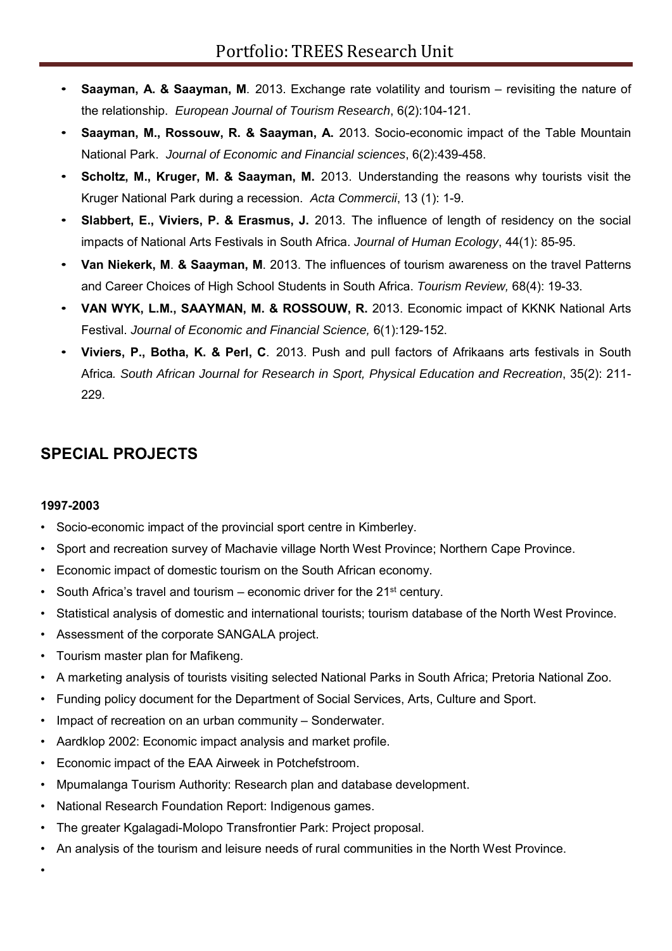- **Saayman, A. & Saayman, M**. 2013. Exchange rate volatility and tourism revisiting the nature of the relationship. *European Journal of Tourism Research*, 6(2):104-121.
- **Saayman, M., Rossouw, R. & Saayman, A.** 2013. Socio-economic impact of the Table Mountain National Park. *Journal of Economic and Financial sciences*, 6(2):439-458.
- **Scholtz, M., Kruger, M. & Saayman, M.** 2013. Understanding the reasons why tourists visit the Kruger National Park during a recession. *Acta Commercii*, 13 (1): 1-9.
- **Slabbert, E., Viviers, P. & Erasmus, J.** 2013. The influence of length of residency on the social impacts of National Arts Festivals in South Africa. *Journal of Human Ecology*, 44(1): 85-95.
- **Van Niekerk, M**. **& Saayman, M**. 2013. The influences of tourism awareness on the travel Patterns and Career Choices of High School Students in South Africa. *Tourism Review,* 68(4): 19-33.
- **VAN WYK, L.M., SAAYMAN, M. & ROSSOUW, R.** 2013. Economic impact of KKNK National Arts Festival. *Journal of Economic and Financial Science,* 6(1):129-152.
- **Viviers, P., Botha, K. & Perl, C**. 2013. Push and pull factors of Afrikaans arts festivals in South Africa*. South African Journal for Research in Sport, Physical Education and Recreation*, 35(2): 211- 229.

### **SPECIAL PROJECTS**

### **1997-2003**

•

- Socio-economic impact of the provincial sport centre in Kimberley.
- Sport and recreation survey of Machavie village North West Province; Northern Cape Province.
- Economic impact of domestic tourism on the South African economy.
- South Africa's travel and tourism economic driver for the  $21<sup>st</sup>$  century.
- Statistical analysis of domestic and international tourists; tourism database of the North West Province.
- Assessment of the corporate SANGALA project.
- Tourism master plan for Mafikeng.
- A marketing analysis of tourists visiting selected National Parks in South Africa; Pretoria National Zoo.
- Funding policy document for the Department of Social Services, Arts, Culture and Sport.
- Impact of recreation on an urban community Sonderwater.
- Aardklop 2002: Economic impact analysis and market profile.
- Economic impact of the EAA Airweek in Potchefstroom.
- Mpumalanga Tourism Authority: Research plan and database development.
- National Research Foundation Report: Indigenous games.
- The greater Kgalagadi-Molopo Transfrontier Park: Project proposal.
- An analysis of the tourism and leisure needs of rural communities in the North West Province.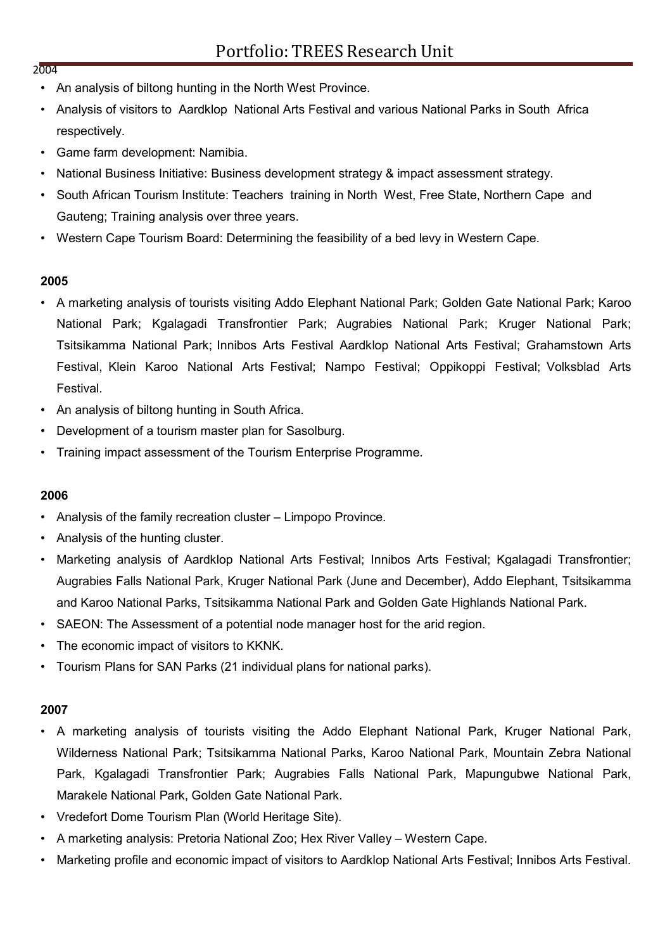- An analysis of biltong hunting in the North West Province.
- Analysis of visitors to Aardklop National Arts Festival and various National Parks in South Africa respectively.
- Game farm development: Namibia.
- National Business Initiative: Business development strategy & impact assessment strategy.
- South African Tourism Institute: Teachers training in North West, Free State, Northern Cape and Gauteng; Training analysis over three years.
- Western Cape Tourism Board: Determining the feasibility of a bed levy in Western Cape.

### **2005**

- A marketing analysis of tourists visiting Addo Elephant National Park; Golden Gate National Park; Karoo National Park; Kgalagadi Transfrontier Park; Augrabies National Park; Kruger National Park; Tsitsikamma National Park; Innibos Arts Festival Aardklop National Arts Festival; Grahamstown Arts Festival, Klein Karoo National Arts Festival; Nampo Festival; Oppikoppi Festival; Volksblad Arts Festival.
- An analysis of biltong hunting in South Africa.
- Development of a tourism master plan for Sasolburg.
- Training impact assessment of the Tourism Enterprise Programme.

#### **2006**

- Analysis of the family recreation cluster Limpopo Province.
- Analysis of the hunting cluster.
- Marketing analysis of Aardklop National Arts Festival; Innibos Arts Festival; Kgalagadi Transfrontier; Augrabies Falls National Park, Kruger National Park (June and December), Addo Elephant, Tsitsikamma and Karoo National Parks, Tsitsikamma National Park and Golden Gate Highlands National Park.
- SAEON: The Assessment of a potential node manager host for the arid region.
- The economic impact of visitors to KKNK.
- Tourism Plans for SAN Parks (21 individual plans for national parks).

#### **2007**

- A marketing analysis of tourists visiting the Addo Elephant National Park, Kruger National Park, Wilderness National Park; Tsitsikamma National Parks, Karoo National Park, Mountain Zebra National Park, Kgalagadi Transfrontier Park; Augrabies Falls National Park, Mapungubwe National Park, Marakele National Park, Golden Gate National Park.
- Vredefort Dome Tourism Plan (World Heritage Site).
- A marketing analysis: Pretoria National Zoo; Hex River Valley Western Cape.
- Marketing profile and economic impact of visitors to Aardklop National Arts Festival; Innibos Arts Festival.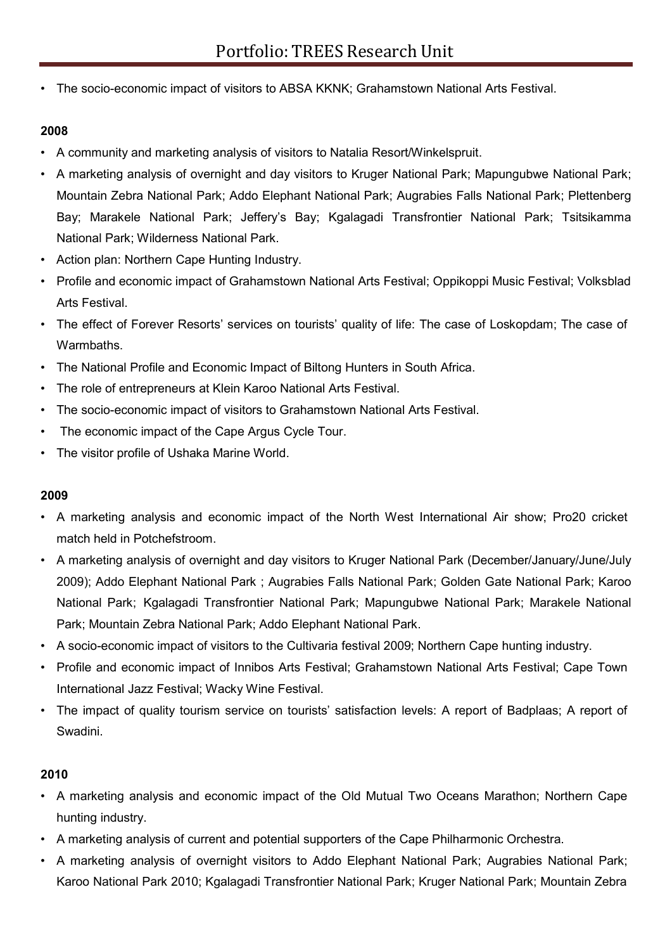• The socio-economic impact of visitors to ABSA KKNK; Grahamstown National Arts Festival.

### **2008**

- A community and marketing analysis of visitors to Natalia Resort/Winkelspruit.
- A marketing analysis of overnight and day visitors to Kruger National Park; Mapungubwe National Park; Mountain Zebra National Park; Addo Elephant National Park; Augrabies Falls National Park; Plettenberg Bay; Marakele National Park; Jeffery's Bay; Kgalagadi Transfrontier National Park; Tsitsikamma National Park; Wilderness National Park.
- Action plan: Northern Cape Hunting Industry.
- Profile and economic impact of Grahamstown National Arts Festival; Oppikoppi Music Festival; Volksblad Arts Festival.
- The effect of Forever Resorts' services on tourists' quality of life: The case of Loskopdam; The case of Warmbaths.
- The National Profile and Economic Impact of Biltong Hunters in South Africa.
- The role of entrepreneurs at Klein Karoo National Arts Festival.
- The socio-economic impact of visitors to Grahamstown National Arts Festival.
- The economic impact of the Cape Argus Cycle Tour.
- The visitor profile of Ushaka Marine World.

### **2009**

- A marketing analysis and economic impact of the North West International Air show; Pro20 cricket match held in Potchefstroom.
- A marketing analysis of overnight and day visitors to Kruger National Park (December/January/June/July 2009); Addo Elephant National Park ; Augrabies Falls National Park; Golden Gate National Park; Karoo National Park; Kgalagadi Transfrontier National Park; Mapungubwe National Park; Marakele National Park; Mountain Zebra National Park; Addo Elephant National Park.
- A socio-economic impact of visitors to the Cultivaria festival 2009; Northern Cape hunting industry.
- Profile and economic impact of Innibos Arts Festival; Grahamstown National Arts Festival; Cape Town International Jazz Festival; Wacky Wine Festival.
- The impact of quality tourism service on tourists' satisfaction levels: A report of Badplaas; A report of Swadini.

- A marketing analysis and economic impact of the Old Mutual Two Oceans Marathon; Northern Cape hunting industry.
- A marketing analysis of current and potential supporters of the Cape Philharmonic Orchestra.
- A marketing analysis of overnight visitors to Addo Elephant National Park; Augrabies National Park; Karoo National Park 2010; Kgalagadi Transfrontier National Park; Kruger National Park; Mountain Zebra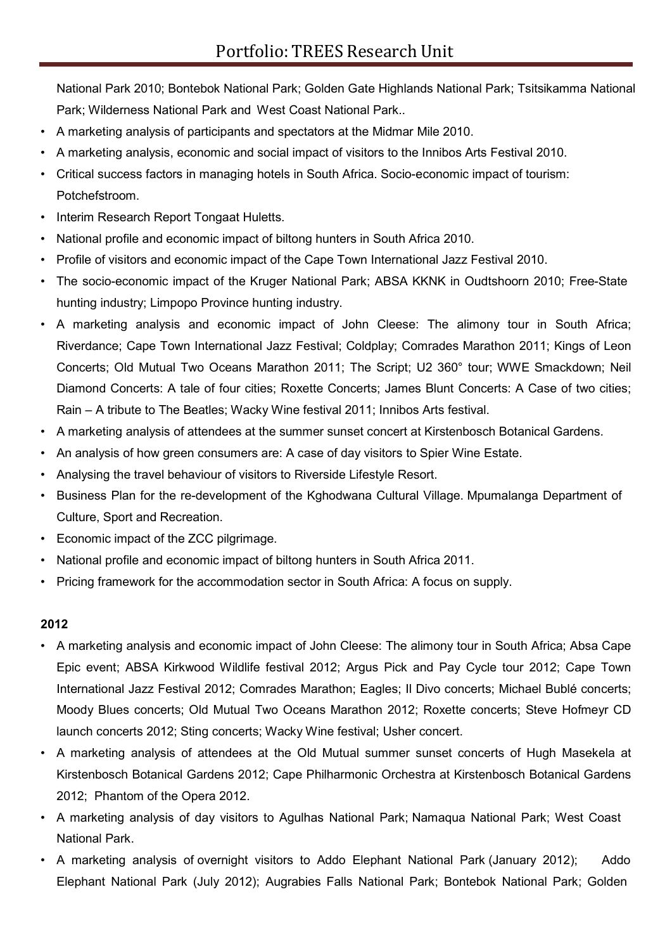National Park 2010; Bontebok National Park; Golden Gate Highlands National Park; Tsitsikamma National Park; Wilderness National Park and West Coast National Park..

- A marketing analysis of participants and spectators at the Midmar Mile 2010.
- A marketing analysis, economic and social impact of visitors to the Innibos Arts Festival 2010.
- Critical success factors in managing hotels in South Africa. Socio-economic impact of tourism: Potchefstroom.
- Interim Research Report Tongaat Huletts.
- National profile and economic impact of biltong hunters in South Africa 2010.
- Profile of visitors and economic impact of the Cape Town International Jazz Festival 2010.
- The socio-economic impact of the Kruger National Park; ABSA KKNK in Oudtshoorn 2010; Free-State hunting industry; Limpopo Province hunting industry.
- A marketing analysis and economic impact of John Cleese: The alimony tour in South Africa; Riverdance; Cape Town International Jazz Festival; Coldplay; Comrades Marathon 2011; Kings of Leon Concerts; Old Mutual Two Oceans Marathon 2011; The Script; U2 360° tour; WWE Smackdown; Neil Diamond Concerts: A tale of four cities; Roxette Concerts; James Blunt Concerts: A Case of two cities; Rain – A tribute to The Beatles; Wacky Wine festival 2011; Innibos Arts festival.
- A marketing analysis of attendees at the summer sunset concert at Kirstenbosch Botanical Gardens.
- An analysis of how green consumers are: A case of day visitors to Spier Wine Estate.
- Analysing the travel behaviour of visitors to Riverside Lifestyle Resort.
- Business Plan for the re-development of the Kghodwana Cultural Village. Mpumalanga Department of Culture, Sport and Recreation.
- Economic impact of the ZCC pilgrimage.
- National profile and economic impact of biltong hunters in South Africa 2011.
- Pricing framework for the accommodation sector in South Africa: A focus on supply.

- A marketing analysis and economic impact of John Cleese: The alimony tour in South Africa; Absa Cape Epic event; ABSA Kirkwood Wildlife festival 2012; Argus Pick and Pay Cycle tour 2012; Cape Town International Jazz Festival 2012; Comrades Marathon; Eagles; Il Divo concerts; Michael Bublé concerts; Moody Blues concerts; Old Mutual Two Oceans Marathon 2012; Roxette concerts; Steve Hofmeyr CD launch concerts 2012; Sting concerts; Wacky Wine festival; Usher concert.
- A marketing analysis of attendees at the Old Mutual summer sunset concerts of Hugh Masekela at Kirstenbosch Botanical Gardens 2012; Cape Philharmonic Orchestra at Kirstenbosch Botanical Gardens 2012; Phantom of the Opera 2012.
- A marketing analysis of day visitors to Agulhas National Park; Namaqua National Park; West Coast National Park.
- A marketing analysis of overnight visitors to Addo Elephant National Park (January 2012); Addo Elephant National Park (July 2012); Augrabies Falls National Park; Bontebok National Park; Golden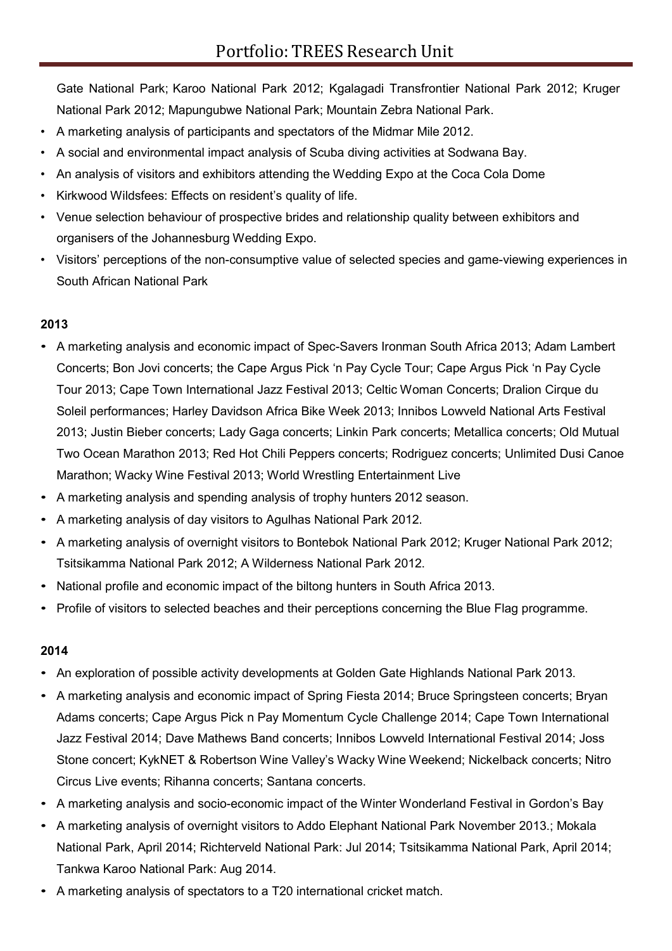Gate National Park; Karoo National Park 2012; Kgalagadi Transfrontier National Park 2012; Kruger National Park 2012; Mapungubwe National Park; Mountain Zebra National Park.

- A marketing analysis of participants and spectators of the Midmar Mile 2012.
- A social and environmental impact analysis of Scuba diving activities at Sodwana Bay.
- An analysis of visitors and exhibitors attending the Wedding Expo at the Coca Cola Dome
- Kirkwood Wildsfees: Effects on resident's quality of life.
- Venue selection behaviour of prospective brides and relationship quality between exhibitors and organisers of the Johannesburg Wedding Expo.
- Visitors' perceptions of the non-consumptive value of selected species and game-viewing experiences in South African National Park

### **2013**

- A marketing analysis and economic impact of Spec-Savers Ironman South Africa 2013; Adam Lambert Concerts; Bon Jovi concerts; the Cape Argus Pick 'n Pay Cycle Tour; Cape Argus Pick 'n Pay Cycle Tour 2013; Cape Town International Jazz Festival 2013; Celtic Woman Concerts; Dralion Cirque du Soleil performances; Harley Davidson Africa Bike Week 2013; Innibos Lowveld National Arts Festival 2013; Justin Bieber concerts; Lady Gaga concerts; Linkin Park concerts; Metallica concerts; Old Mutual Two Ocean Marathon 2013; Red Hot Chili Peppers concerts; Rodriguez concerts; Unlimited Dusi Canoe Marathon; Wacky Wine Festival 2013; World Wrestling Entertainment Live
- A marketing analysis and spending analysis of trophy hunters 2012 season.
- A marketing analysis of day visitors to Agulhas National Park 2012.
- A marketing analysis of overnight visitors to Bontebok National Park 2012; Kruger National Park 2012; Tsitsikamma National Park 2012; A Wilderness National Park 2012.
- National profile and economic impact of the biltong hunters in South Africa 2013.
- Profile of visitors to selected beaches and their perceptions concerning the Blue Flag programme.

- An exploration of possible activity developments at Golden Gate Highlands National Park 2013.
- A marketing analysis and economic impact of Spring Fiesta 2014; Bruce Springsteen concerts; Bryan Adams concerts; Cape Argus Pick n Pay Momentum Cycle Challenge 2014; Cape Town International Jazz Festival 2014; Dave Mathews Band concerts; Innibos Lowveld International Festival 2014; Joss Stone concert; KykNET & Robertson Wine Valley's Wacky Wine Weekend; Nickelback concerts; Nitro Circus Live events; Rihanna concerts; Santana concerts.
- A marketing analysis and socio-economic impact of the Winter Wonderland Festival in Gordon's Bay
- A marketing analysis of overnight visitors to Addo Elephant National Park November 2013.; Mokala National Park, April 2014; Richterveld National Park: Jul 2014; Tsitsikamma National Park, April 2014; Tankwa Karoo National Park: Aug 2014.
- A marketing analysis of spectators to a T20 international cricket match.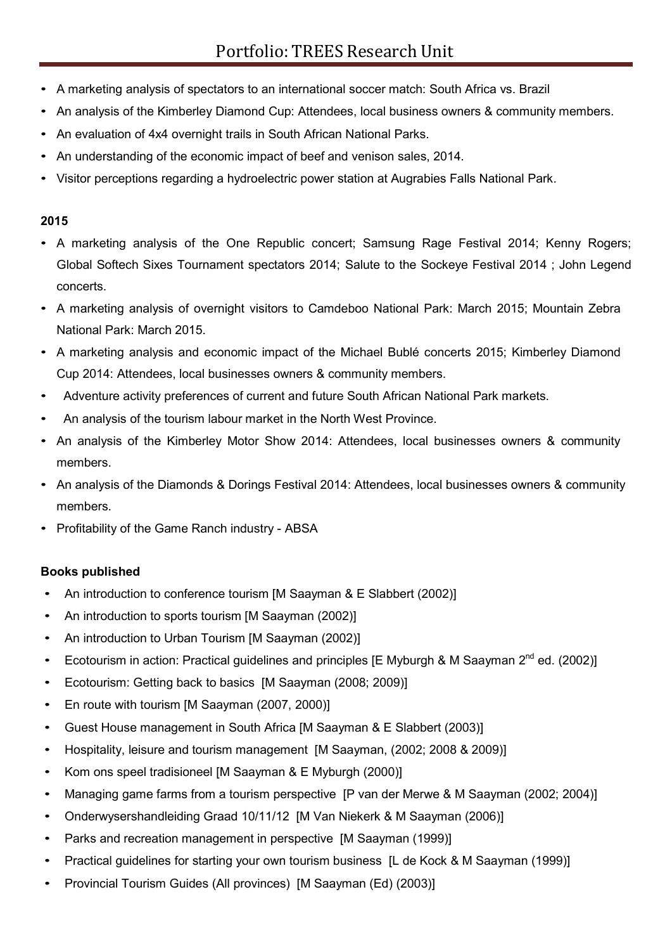- A marketing analysis of spectators to an international soccer match: South Africa vs. Brazil
- An analysis of the Kimberley Diamond Cup: Attendees, local business owners & community members.
- An evaluation of 4x4 overnight trails in South African National Parks.
- An understanding of the economic impact of beef and venison sales, 2014.
- Visitor perceptions regarding a hydroelectric power station at Augrabies Falls National Park.

### **2015**

- A marketing analysis of the One Republic concert; Samsung Rage Festival 2014; Kenny Rogers; Global Softech Sixes Tournament spectators 2014; Salute to the Sockeye Festival 2014 ; John Legend concerts.
- A marketing analysis of overnight visitors to Camdeboo National Park: March 2015; Mountain Zebra National Park: March 2015.
- A marketing analysis and economic impact of the Michael Bublé concerts 2015; Kimberley Diamond Cup 2014: Attendees, local businesses owners & community members.
- Adventure activity preferences of current and future South African National Park markets.
- An analysis of the tourism labour market in the North West Province.
- An analysis of the Kimberley Motor Show 2014: Attendees, local businesses owners & community members.
- An analysis of the Diamonds & Dorings Festival 2014: Attendees, local businesses owners & community members.
- Profitability of the Game Ranch industry ABSA

### **Books published**

- An introduction to conference tourism [M Saayman & E Slabbert (2002)]
- An introduction to sports tourism [M Saayman (2002)]
- An introduction to Urban Tourism [M Saayman (2002)]
- Ecotourism in action: Practical guidelines and principles [E Myburgh & M Saayman  $2^{nd}$  ed. (2002)]
- Ecotourism: Getting back to basics [M Saayman (2008; 2009)]
- En route with tourism [M Saayman (2007, 2000)]
- Guest House management in South Africa [M Saayman & E Slabbert (2003)]
- Hospitality, leisure and tourism management [M Saayman, (2002; 2008 & 2009)]
- Kom ons speel tradisioneel [M Saayman & E Myburgh (2000)]
- Managing game farms from a tourism perspective [P van der Merwe & M Saayman (2002; 2004)]
- Onderwysershandleiding Graad 10/11/12 [M Van Niekerk & M Saayman (2006)]
- Parks and recreation management in perspective [M Saayman (1999)]
- Practical guidelines for starting your own tourism business [L de Kock & M Saayman (1999)]
- Provincial Tourism Guides (All provinces) [M Saayman (Ed) (2003)]